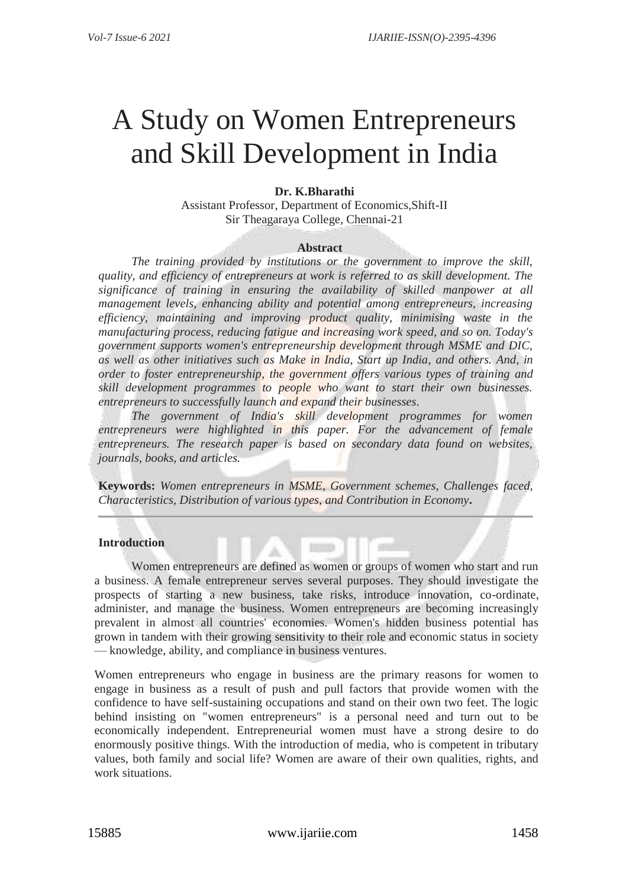# A Study on Women Entrepreneurs and Skill Development in India

# **Dr. K.Bharathi**

Assistant Professor, Department of Economics,Shift-II Sir Theagaraya College, Chennai-21

#### **Abstract**

*The training provided by institutions or the government to improve the skill, quality, and efficiency of entrepreneurs at work is referred to as skill development. The significance of training in ensuring the availability of skilled manpower at all management levels, enhancing ability and potential among entrepreneurs, increasing*  efficiency, maintaining and improving product quality, minimising waste in the *manufacturing process, reducing fatigue and increasing work speed, and so on. Today's government supports women's entrepreneurship development through MSME and DIC, as well as other initiatives such as Make in India, Start up India, and others. And, in order to foster entrepreneurship, the government offers various types of training and skill development programmes to people who want to start their own businesses. entrepreneurs to successfully launch and expand their businesses.*

*The government of India's skill development programmes for women*  entrepreneurs were highlighted in this paper. For the advancement of female *entrepreneurs. The research paper is based on secondary data found on websites, journals, books, and articles.*

**Keywords:** *Women entrepreneurs in MSME, Government schemes, Challenges faced, Characteristics, Distribution of various types, and Contribution in Economy***.**

# **Introduction**

Women entrepreneurs are defined as women or groups of women who start and run a business. A female entrepreneur serves several purposes. They should investigate the prospects of starting a new business, take risks, introduce innovation, co-ordinate, administer, and manage the business. Women entrepreneurs are becoming increasingly prevalent in almost all countries' economies. Women's hidden business potential has grown in tandem with their growing sensitivity to their role and economic status in society — knowledge, ability, and compliance in business ventures.

Women entrepreneurs who engage in business are the primary reasons for women to engage in business as a result of push and pull factors that provide women with the confidence to have self-sustaining occupations and stand on their own two feet. The logic behind insisting on "women entrepreneurs" is a personal need and turn out to be economically independent. Entrepreneurial women must have a strong desire to do enormously positive things. With the introduction of media, who is competent in tributary values, both family and social life? Women are aware of their own qualities, rights, and work situations.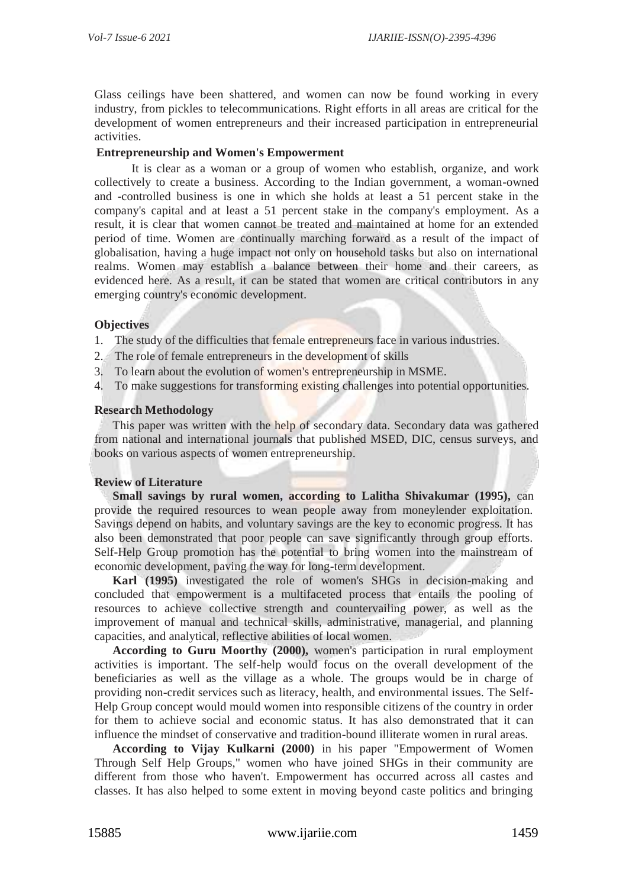Glass ceilings have been shattered, and women can now be found working in every industry, from pickles to telecommunications. Right efforts in all areas are critical for the development of women entrepreneurs and their increased participation in entrepreneurial activities.

# **Entrepreneurship and Women's Empowerment**

It is clear as a woman or a group of women who establish, organize, and work collectively to create a business. According to the Indian government, a woman-owned and -controlled business is one in which she holds at least a 51 percent stake in the company's capital and at least a 51 percent stake in the company's employment. As a result, it is clear that women cannot be treated and maintained at home for an extended period of time. Women are continually marching forward as a result of the impact of globalisation, having a huge impact not only on household tasks but also on international realms. Women may establish a balance between their home and their careers, as evidenced here. As a result, it can be stated that women are critical contributors in any emerging country's economic development.

#### **Objectives**

- 1. The study of the difficulties that female entrepreneurs face in various industries.
- 2. The role of female entrepreneurs in the development of skills
- 3. To learn about the evolution of women's entrepreneurship in MSME.
- 4. To make suggestions for transforming existing challenges into potential opportunities.

#### **Research Methodology**

This paper was written with the help of secondary data. Secondary data was gathered from national and international journals that published MSED, DIC, census surveys, and books on various aspects of women entrepreneurship.

# **Review of Literature**

**Small savings by rural women, according to Lalitha Shivakumar (1995),** can provide the required resources to wean people away from moneylender exploitation. Savings depend on habits, and voluntary savings are the key to economic progress. It has also been demonstrated that poor people can save significantly through group efforts. Self-Help Group promotion has the potential to bring women into the mainstream of economic development, paving the way for long-term development.

**Karl (1995)** investigated the role of women's SHGs in decision-making and concluded that empowerment is a multifaceted process that entails the pooling of resources to achieve collective strength and countervailing power, as well as the improvement of manual and technical skills, administrative, managerial, and planning capacities, and analytical, reflective abilities of local women.

**According to Guru Moorthy (2000),** women's participation in rural employment activities is important. The self-help would focus on the overall development of the beneficiaries as well as the village as a whole. The groups would be in charge of providing non-credit services such as literacy, health, and environmental issues. The Self-Help Group concept would mould women into responsible citizens of the country in order for them to achieve social and economic status. It has also demonstrated that it can influence the mindset of conservative and tradition-bound illiterate women in rural areas.

**According to Vijay Kulkarni (2000)** in his paper "Empowerment of Women Through Self Help Groups," women who have joined SHGs in their community are different from those who haven't. Empowerment has occurred across all castes and classes. It has also helped to some extent in moving beyond caste politics and bringing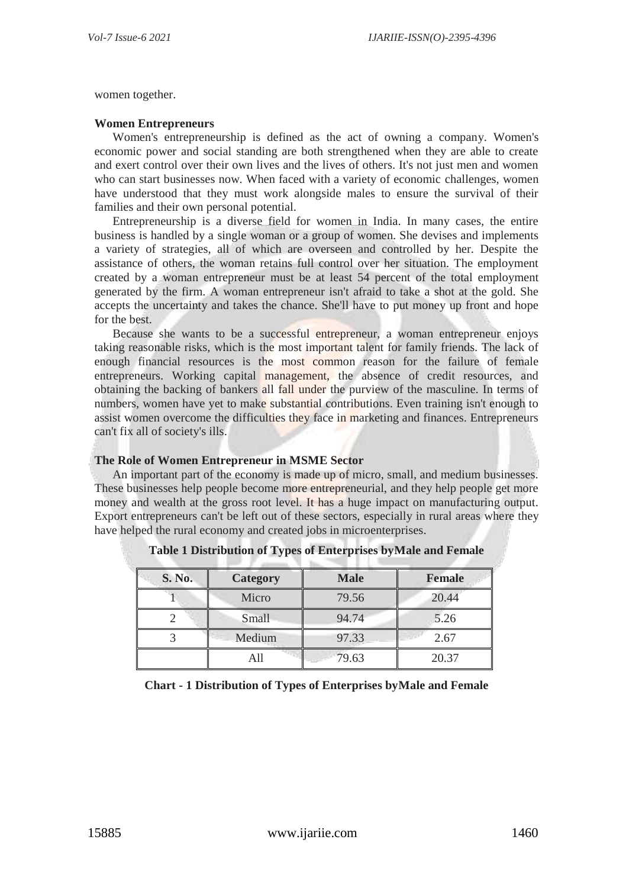women together.

#### **Women Entrepreneurs**

Women's entrepreneurship is defined as the act of owning a company. Women's economic power and social standing are both strengthened when they are able to create and exert control over their own lives and the lives of others. It's not just men and women who can start businesses now. When faced with a variety of economic challenges, women have understood that they must work alongside males to ensure the survival of their families and their own personal potential.

Entrepreneurship is a diverse field for women in India. In many cases, the entire business is handled by a single woman or a group of women. She devises and implements a variety of strategies, all of which are overseen and controlled by her. Despite the assistance of others, the woman retains full control over her situation. The employment created by a woman entrepreneur must be at least 54 percent of the total employment generated by the firm. A woman entrepreneur isn't afraid to take a shot at the gold. She accepts the uncertainty and takes the chance. She'll have to put money up front and hope for the best.

Because she wants to be a successful entrepreneur, a woman entrepreneur enjoys taking reasonable risks, which is the most important talent for family friends. The lack of enough financial resources is the most common reason for the failure of female entrepreneurs. Working capital management, the absence of credit resources, and obtaining the backing of bankers all fall under the purview of the masculine. In terms of numbers, women have yet to make substantial contributions. Even training isn't enough to assist women overcome the difficulties they face in marketing and finances. Entrepreneurs can't fix all of society's ills.

# **The Role of Women Entrepreneur in MSME Sector**

An important part of the economy is made up of micro, small, and medium businesses. These businesses help people become more entrepreneurial, and they help people get more money and wealth at the gross root level. It has a huge impact on manufacturing output. Export entrepreneurs can't be left out of these sectors, especially in rural areas where they have helped the rural economy and created jobs in microenterprises.

| S. No. | Category     | <b>Male</b> | <b>Female</b> |
|--------|--------------|-------------|---------------|
|        | Micro        | 79.56       | 20.44         |
|        | <b>Small</b> | 94.74       | 5.26          |
|        | Medium       | 97.33       | 2.67          |
|        | All          | 79.63       | 20.37         |

**Table 1 Distribution of Types of Enterprises byMale and Female**

# **Chart - 1 Distribution of Types of Enterprises byMale and Female**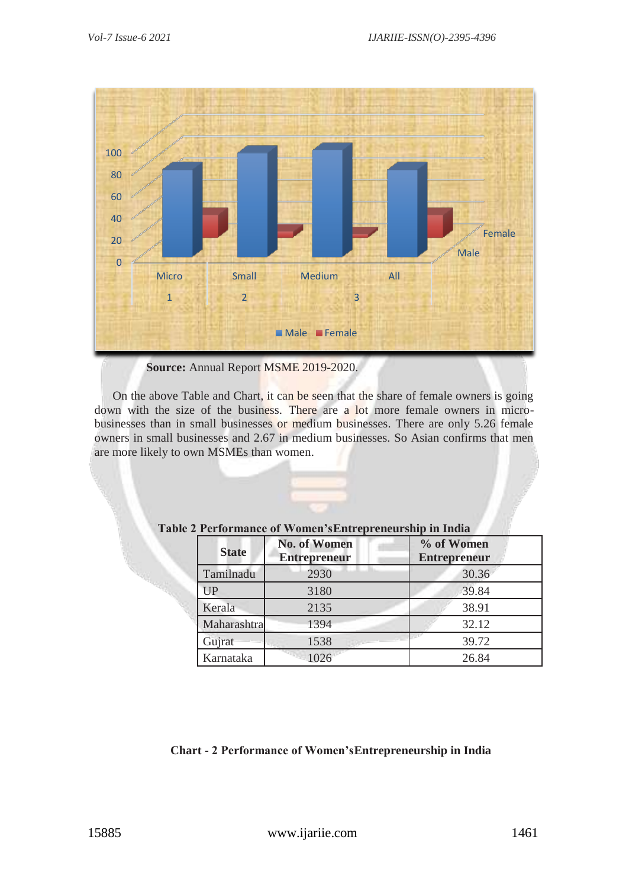

 **Source:** Annual Report MSME 2019-2020.

On the above Table and Chart, it can be seen that the share of female owners is going down with the size of the business. There are a lot more female owners in microbusinesses than in small businesses or medium businesses. There are only 5.26 female owners in small businesses and 2.67 in medium businesses. So Asian confirms that men are more likely to own MSMEs than women.

| <b>State</b> | <b>No. of Women</b><br><b>Entrepreneur</b> | % of Women<br><b>Entrepreneur</b> |
|--------------|--------------------------------------------|-----------------------------------|
| Tamilnadu    | 2930                                       | 30.36                             |
| UP           | 3180                                       | 39.84                             |
| Kerala       | 2135                                       | 38.91                             |
| Maharashtra  | 1394                                       | 32.12                             |
| Gujrat       | 1538                                       | 39.72                             |
| Karnataka    | 1026                                       | 26.84                             |

# **Table 2 Performance of Women'sEntrepreneurship in India**

# **Chart - 2 Performance of Women'sEntrepreneurship in India**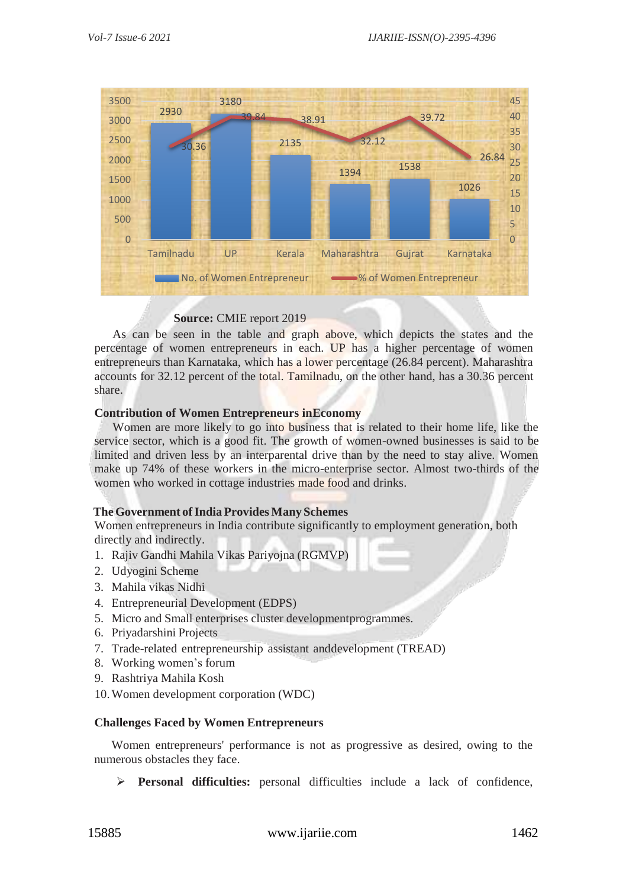

# **Source:** CMIE report 2019

As can be seen in the table and graph above, which depicts the states and the percentage of women entrepreneurs in each. UP has a higher percentage of women entrepreneurs than Karnataka, which has a lower percentage (26.84 percent). Maharashtra accounts for 32.12 percent of the total. Tamilnadu, on the other hand, has a 30.36 percent share.

#### **Contribution of Women Entrepreneurs inEconomy**

Women are more likely to go into business that is related to their home life, like the service sector, which is a good fit. The growth of women-owned businesses is said to be limited and driven less by an interparental drive than by the need to stay alive. Women make up 74% of these workers in the micro-enterprise sector. Almost two-thirds of the women who worked in cottage industries made food and drinks.

#### **The Government of India Provides Many Schemes**

Women entrepreneurs in India contribute significantly to employment generation, both directly and indirectly.

- 1. Rajiv Gandhi Mahila Vikas Pariyojna (RGMVP)
- 2. Udyogini Scheme
- 3. Mahila vikas Nidhi
- 4. Entrepreneurial Development (EDPS)
- 5. Micro and Small enterprises cluster developmentprogrammes.
- 6. Priyadarshini Projects
- 7. Trade-related entrepreneurship assistant anddevelopment (TREAD)
- 8. Working women's forum
- 9. Rashtriya Mahila Kosh
- 10.Women development corporation (WDC)

# **Challenges Faced by Women Entrepreneurs**

Women entrepreneurs' performance is not as progressive as desired, owing to the numerous obstacles they face.

**Personal difficulties:** personal difficulties include a lack of confidence,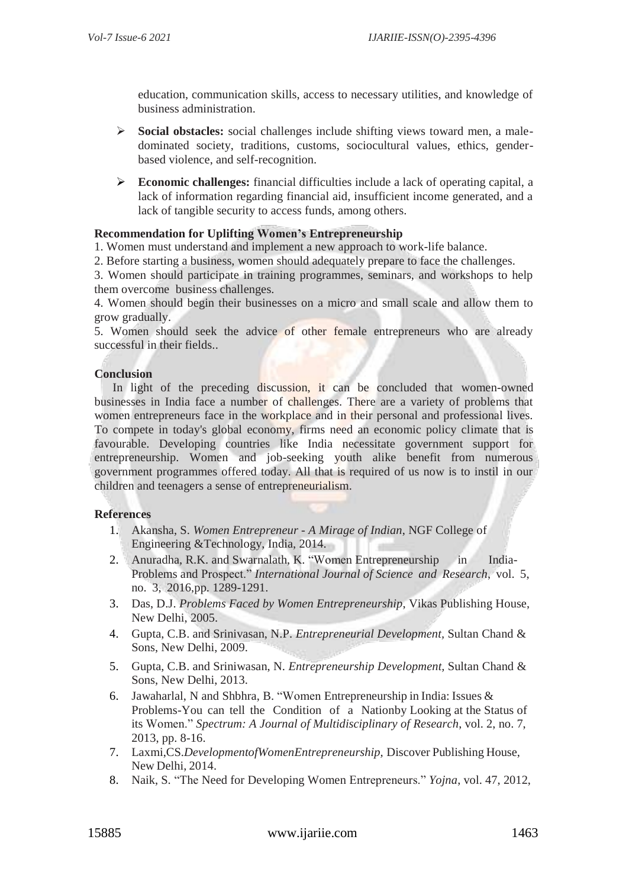education, communication skills, access to necessary utilities, and knowledge of business administration.

- **Social obstacles:** social challenges include shifting views toward men, a maledominated society, traditions, customs, sociocultural values, ethics, genderbased violence, and self-recognition.
- **Economic challenges:** financial difficulties include a lack of operating capital, a lack of information regarding financial aid, insufficient income generated, and a lack of tangible security to access funds, among others.

#### **Recommendation for Uplifting Women's Entrepreneurship**

1. Women must understand and implement a new approach to work-life balance.

2. Before starting a business, women should adequately prepare to face the challenges.

3. Women should participate in training programmes, seminars, and workshops to help them overcome business challenges.

4. Women should begin their businesses on a micro and small scale and allow them to grow gradually.

5. Women should seek the advice of other female entrepreneurs who are already successful in their fields..

#### **Conclusion**

In light of the preceding discussion, it can be concluded that women-owned businesses in India face a number of challenges. There are a variety of problems that women entrepreneurs face in the workplace and in their personal and professional lives. To compete in today's global economy, firms need an economic policy climate that is favourable. Developing countries like India necessitate government support for entrepreneurship. Women and job-seeking youth alike benefit from numerous government programmes offered today. All that is required of us now is to instil in our children and teenagers a sense of entrepreneurialism.

# **References**

- 1. Akansha, S. *Women Entrepreneur - A Mirage of Indian*, NGF College of Engineering &Technology, India, 2014.
- 2. Anuradha, R.K. and Swarnalath, K. "Women Entrepreneurship in India-Problems and Prospect." *International Journal of Science and Research*, vol. 5, no. 3, 2016,pp. 1289-1291.
- 3. Das, D.J. *Problems Faced by Women Entrepreneurship*, Vikas Publishing House, New Delhi, 2005.
- 4. Gupta, C.B. and Srinivasan, N.P. *Entrepreneurial Development,* Sultan Chand & Sons, New Delhi, 2009.
- 5. Gupta, C.B. and Sriniwasan, N. *Entrepreneurship Development,* Sultan Chand & Sons, New Delhi, 2013.
- 6. Jawaharlal, N and Shbhra, B. "Women Entrepreneurship in India: Issues & Problems-You can tell the Condition of a Nationby Looking at the Status of its Women." *Spectrum: A Journal of Multidisciplinary of Research*, vol. 2, no. 7, 2013, pp. 8-16.
- 7. Laxmi,CS.*DevelopmentofWomenEntrepreneurship,* Discover Publishing House, New Delhi, 2014.
- 8. Naik, S. "The Need for Developing Women Entrepreneurs." *Yojna*, vol. 47, 2012,